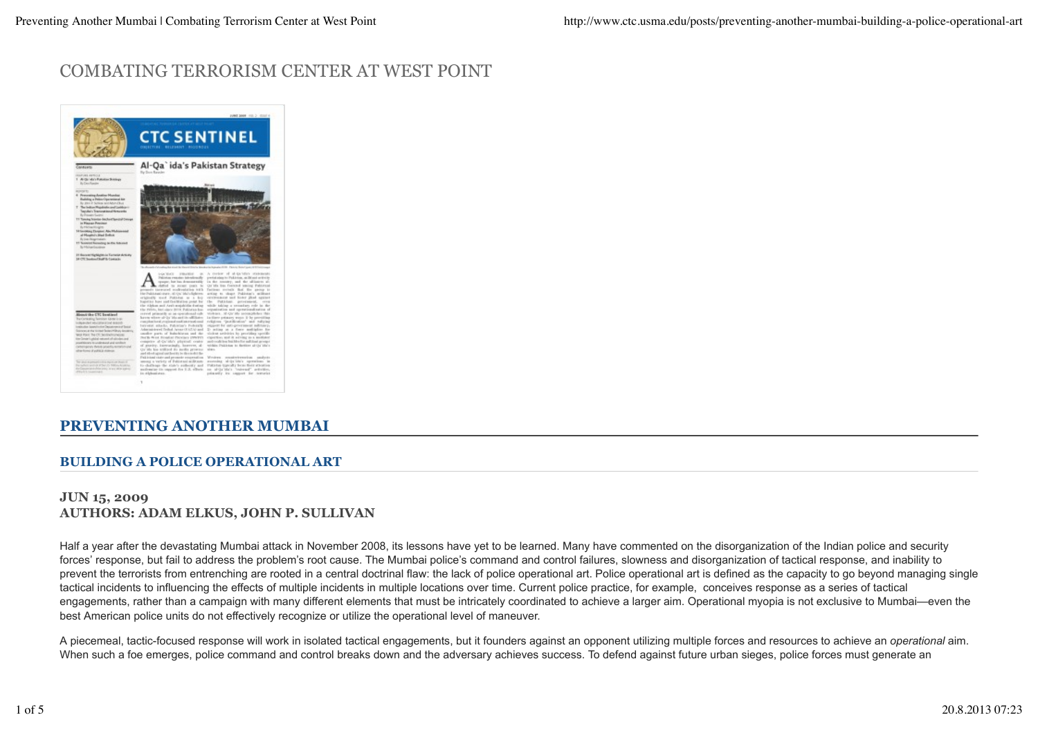# COMBATING TERRORISM CENTER AT WEST POINT



## **PREVENTING ANOTHER MUMBAI**

### **BUILDING A POLICE OPERATIONAL ART**

### **JUN 15, 2009 AUTHORS: ADAM ELKUS, JOHN P. SULLIVAN**

Half a year after the devastating Mumbai attack in November 2008, its lessons have yet to be learned. Many have commented on the disorganization of the Indian police and security forces' response, but fail to address the problem's root cause. The Mumbai police's command and control failures, slowness and disorganization of tactical response, and inability to prevent the terrorists from entrenching are rooted in a central doctrinal flaw: the lack of police operational art. Police operational art is defined as the capacity to go beyond managing single tactical incidents to influencing the effects of multiple incidents in multiple locations over time. Current police practice, for example, conceives response as a series of tactical engagements, rather than a campaign with many different elements that must be intricately coordinated to achieve a larger aim. Operational myopia is not exclusive to Mumbai—even the best American police units do not effectively recognize or utilize the operational level of maneuver.

A piecemeal, tactic-focused response will work in isolated tactical engagements, but it founders against an opponent utilizing multiple forces and resources to achieve an *operational* aim. When such a foe emerges, police command and control breaks down and the adversary achieves success. To defend against future urban sieges, police forces must generate an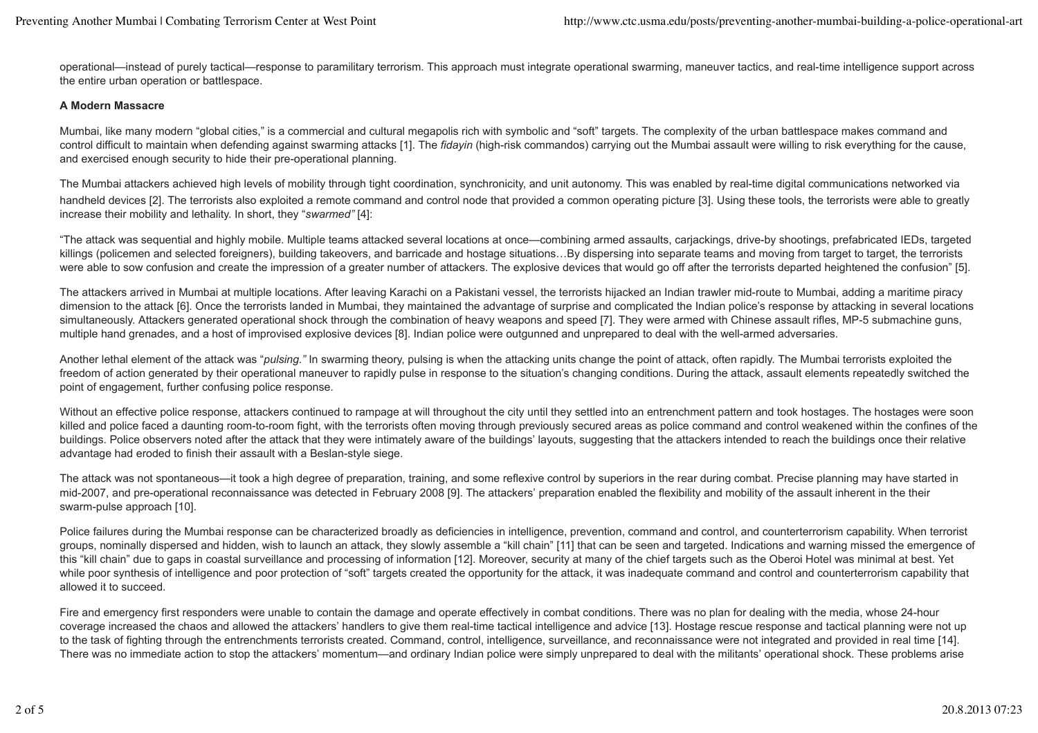operational—instead of purely tactical—response to paramilitary terrorism. This approach must integrate operational swarming, maneuver tactics, and real-time intelligence support across the entire urban operation or battlespace.

#### **A Modern Massacre**

Mumbai, like many modern "global cities," is a commercial and cultural megapolis rich with symbolic and "soft" targets. The complexity of the urban battlespace makes command and control difficult to maintain when defending against swarming attacks [1]. The *fidayin* (high-risk commandos) carrying out the Mumbai assault were willing to risk everything for the cause, and exercised enough security to hide their pre-operational planning.

The Mumbai attackers achieved high levels of mobility through tight coordination, synchronicity, and unit autonomy. This was enabled by real-time digital communications networked via handheld devices [2]. The terrorists also exploited a remote command and control node that provided a common operating picture [3]. Using these tools, the terrorists were able to greatly increase their mobility and lethality. In short, they "*swarmed"* [4]:

"The attack was sequential and highly mobile. Multiple teams attacked several locations at once—combining armed assaults, carjackings, drive-by shootings, prefabricated IEDs, targeted killings (policemen and selected foreigners), building takeovers, and barricade and hostage situations...By dispersing into separate teams and moving from target to target, the terrorists were able to sow confusion and create the impression of a greater number of attackers. The explosive devices that would go off after the terrorists departed heightened the confusion" [5].

The attackers arrived in Mumbai at multiple locations. After leaving Karachi on a Pakistani vessel, the terrorists hijacked an Indian trawler mid-route to Mumbai, adding a maritime piracy dimension to the attack [6]. Once the terrorists landed in Mumbai, they maintained the advantage of surprise and complicated the Indian police's response by attacking in several locations simultaneously. Attackers generated operational shock through the combination of heavy weapons and speed [7]. They were armed with Chinese assault rifles, MP-5 submachine guns, multiple hand grenades, and a host of improvised explosive devices [8]. Indian police were outgunned and unprepared to deal with the well-armed adversaries.

Another lethal element of the attack was "*pulsing."* In swarming theory, pulsing is when the attacking units change the point of attack, often rapidly. The Mumbai terrorists exploited the freedom of action generated by their operational maneuver to rapidly pulse in response to the situation's changing conditions. During the attack, assault elements repeatedly switched the point of engagement, further confusing police response.

Without an effective police response, attackers continued to rampage at will throughout the city until they settled into an entrenchment pattern and took hostages. The hostages were soon killed and police faced a daunting room-to-room fight, with the terrorists often moving through previously secured areas as police command and control weakened within the confines of the buildings. Police observers noted after the attack that they were intimately aware of the buildings' layouts, suggesting that the attackers intended to reach the buildings once their relative advantage had eroded to finish their assault with a Beslan-style siege.

The attack was not spontaneous—it took a high degree of preparation, training, and some reflexive control by superiors in the rear during combat. Precise planning may have started in mid-2007, and pre-operational reconnaissance was detected in February 2008 [9]. The attackers' preparation enabled the flexibility and mobility of the assault inherent in the their swarm-pulse approach [10].

Police failures during the Mumbai response can be characterized broadly as deficiencies in intelligence, prevention, command and control, and counterterrorism capability. When terrorist groups, nominally dispersed and hidden, wish to launch an attack, they slowly assemble a "kill chain" [11] that can be seen and targeted. Indications and warning missed the emergence of this "kill chain" due to gaps in coastal surveillance and processing of information [12]. Moreover, security at many of the chief targets such as the Oberoi Hotel was minimal at best. Yet while poor synthesis of intelligence and poor protection of "soft" targets created the opportunity for the attack, it was inadequate command and control and counterterrorism capability that allowed it to succeed.

Fire and emergency first responders were unable to contain the damage and operate effectively in combat conditions. There was no plan for dealing with the media, whose 24-hour coverage increased the chaos and allowed the attackers' handlers to give them real-time tactical intelligence and advice [13]. Hostage rescue response and tactical planning were not up to the task of fighting through the entrenchments terrorists created. Command, control, intelligence, surveillance, and reconnaissance were not integrated and provided in real time [14]. There was no immediate action to stop the attackers' momentum—and ordinary Indian police were simply unprepared to deal with the militants' operational shock. These problems arise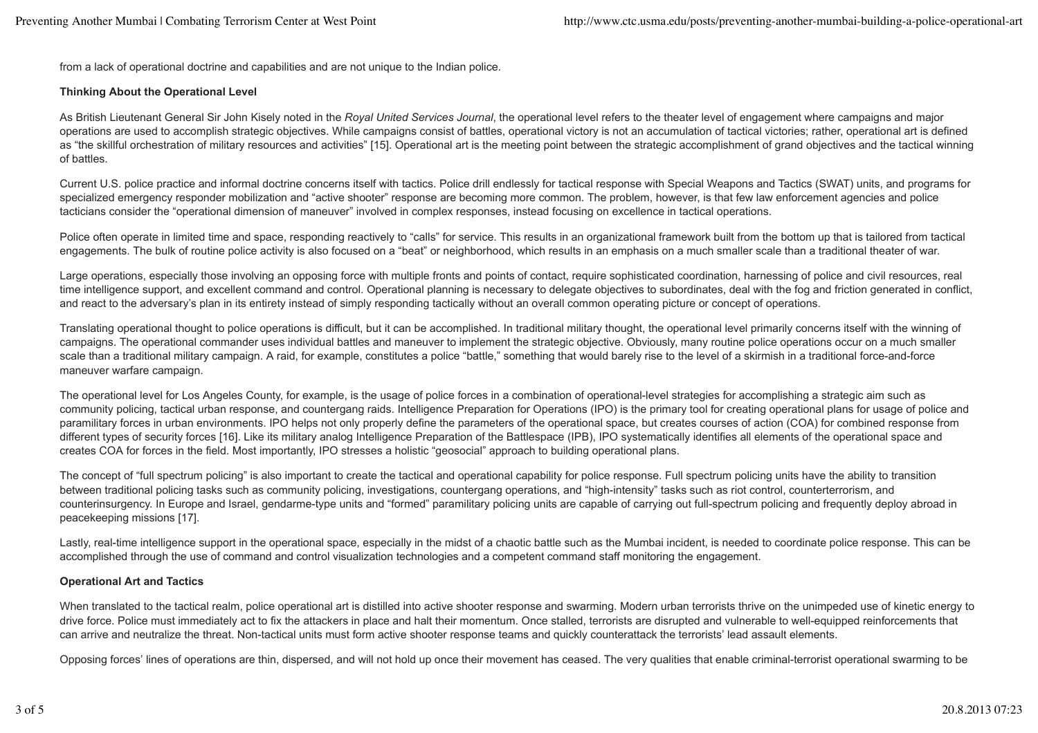from a lack of operational doctrine and capabilities and are not unique to the Indian police.

#### **Thinking About the Operational Level**

As British Lieutenant General Sir John Kisely noted in the *Royal United Services Journal*, the operational level refers to the theater level of engagement where campaigns and major operations are used to accomplish strategic objectives. While campaigns consist of battles, operational victory is not an accumulation of tactical victories; rather, operational art is defined as "the skillful orchestration of military resources and activities" [15]. Operational art is the meeting point between the strategic accomplishment of grand objectives and the tactical winning of battles.

Current U.S. police practice and informal doctrine concerns itself with tactics. Police drill endlessly for tactical response with Special Weapons and Tactics (SWAT) units, and programs for specialized emergency responder mobilization and "active shooter" response are becoming more common. The problem, however, is that few law enforcement agencies and police tacticians consider the "operational dimension of maneuver" involved in complex responses, instead focusing on excellence in tactical operations.

Police often operate in limited time and space, responding reactively to "calls" for service. This results in an organizational framework built from the bottom up that is tailored from tactical engagements. The bulk of routine police activity is also focused on a "beat" or neighborhood, which results in an emphasis on a much smaller scale than a traditional theater of war.

Large operations, especially those involving an opposing force with multiple fronts and points of contact, require sophisticated coordination, harnessing of police and civil resources, real time intelligence support, and excellent command and control. Operational planning is necessary to delegate objectives to subordinates, deal with the fog and friction generated in conflict, and react to the adversary's plan in its entirety instead of simply responding tactically without an overall common operating picture or concept of operations.

Translating operational thought to police operations is difficult, but it can be accomplished. In traditional military thought, the operational level primarily concerns itself with the winning of campaigns. The operational commander uses individual battles and maneuver to implement the strategic objective. Obviously, many routine police operations occur on a much smaller scale than a traditional military campaign. A raid, for example, constitutes a police "battle," something that would barely rise to the level of a skirmish in a traditional force-and-force maneuver warfare campaign.

The operational level for Los Angeles County, for example, is the usage of police forces in a combination of operational-level strategies for accomplishing a strategic aim such as community policing, tactical urban response, and countergang raids. Intelligence Preparation for Operations (IPO) is the primary tool for creating operational plans for usage of police and paramilitary forces in urban environments. IPO helps not only properly define the parameters of the operational space, but creates courses of action (COA) for combined response from different types of security forces [16]. Like its military analog Intelligence Preparation of the Battlespace (IPB), IPO systematically identifies all elements of the operational space and creates COA for forces in the field. Most importantly, IPO stresses a holistic "geosocial" approach to building operational plans.

The concept of "full spectrum policing" is also important to create the tactical and operational capability for police response. Full spectrum policing units have the ability to transition between traditional policing tasks such as community policing, investigations, countergang operations, and "high-intensity" tasks such as riot control, counterterrorism, and counterinsurgency. In Europe and Israel, gendarme-type units and "formed" paramilitary policing units are capable of carrying out full-spectrum policing and frequently deploy abroad in peacekeeping missions [17].

Lastly, real-time intelligence support in the operational space, especially in the midst of a chaotic battle such as the Mumbai incident, is needed to coordinate police response. This can be accomplished through the use of command and control visualization technologies and a competent command staff monitoring the engagement.

#### **Operational Art and Tactics**

When translated to the tactical realm, police operational art is distilled into active shooter response and swarming. Modern urban terrorists thrive on the unimpeded use of kinetic energy to drive force. Police must immediately act to fix the attackers in place and halt their momentum. Once stalled, terrorists are disrupted and vulnerable to well-equipped reinforcements that can arrive and neutralize the threat. Non-tactical units must form active shooter response teams and quickly counterattack the terrorists' lead assault elements.

Opposing forces' lines of operations are thin, dispersed, and will not hold up once their movement has ceased. The very qualities that enable criminal-terrorist operational swarming to be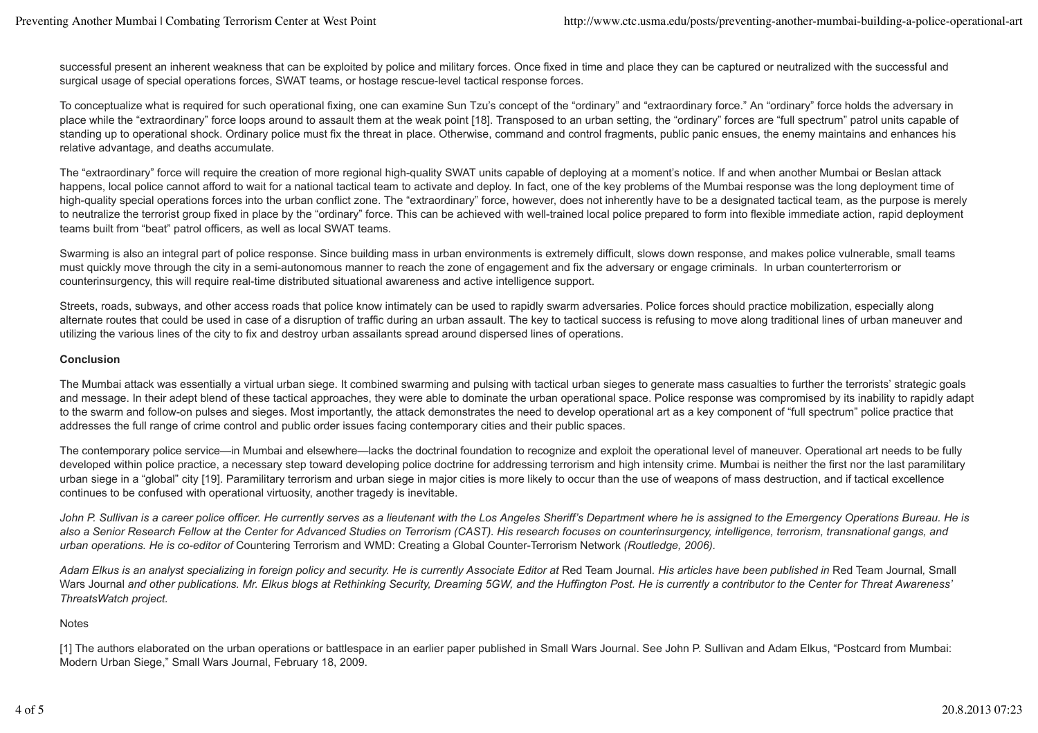successful present an inherent weakness that can be exploited by police and military forces. Once fixed in time and place they can be captured or neutralized with the successful and surgical usage of special operations forces, SWAT teams, or hostage rescue-level tactical response forces.

To conceptualize what is required for such operational fixing, one can examine Sun Tzu's concept of the "ordinary" and "extraordinary force." An "ordinary" force holds the adversary in place while the "extraordinary" force loops around to assault them at the weak point [18]. Transposed to an urban setting, the "ordinary" forces are "full spectrum" patrol units capable of standing up to operational shock. Ordinary police must fix the threat in place. Otherwise, command and control fragments, public panic ensues, the enemy maintains and enhances his relative advantage, and deaths accumulate.

The "extraordinary" force will require the creation of more regional high-quality SWAT units capable of deploying at a moment's notice. If and when another Mumbai or Beslan attack happens, local police cannot afford to wait for a national tactical team to activate and deploy. In fact, one of the key problems of the Mumbai response was the long deployment time of high-quality special operations forces into the urban conflict zone. The "extraordinary" force, however, does not inherently have to be a designated tactical team, as the purpose is merely to neutralize the terrorist group fixed in place by the "ordinary" force. This can be achieved with well-trained local police prepared to form into flexible immediate action, rapid deployment teams built from "beat" patrol officers, as well as local SWAT teams.

Swarming is also an integral part of police response. Since building mass in urban environments is extremely difficult, slows down response, and makes police vulnerable, small teams must quickly move through the city in a semi-autonomous manner to reach the zone of engagement and fix the adversary or engage criminals. In urban counterterrorism or counterinsurgency, this will require real-time distributed situational awareness and active intelligence support.

Streets, roads, subways, and other access roads that police know intimately can be used to rapidly swarm adversaries. Police forces should practice mobilization, especially along alternate routes that could be used in case of a disruption of traffic during an urban assault. The key to tactical success is refusing to move along traditional lines of urban maneuver and utilizing the various lines of the city to fix and destroy urban assailants spread around dispersed lines of operations.

#### **Conclusion**

The Mumbai attack was essentially a virtual urban siege. It combined swarming and pulsing with tactical urban sieges to generate mass casualties to further the terrorists' strategic goals and message. In their adept blend of these tactical approaches, they were able to dominate the urban operational space. Police response was compromised by its inability to rapidly adapt to the swarm and follow-on pulses and sieges. Most importantly, the attack demonstrates the need to develop operational art as a key component of "full spectrum" police practice that addresses the full range of crime control and public order issues facing contemporary cities and their public spaces.

The contemporary police service—in Mumbai and elsewhere—lacks the doctrinal foundation to recognize and exploit the operational level of maneuver. Operational art needs to be fully developed within police practice, a necessary step toward developing police doctrine for addressing terrorism and high intensity crime. Mumbai is neither the first nor the last paramilitary urban siege in a "global" city [19]. Paramilitary terrorism and urban siege in major cities is more likely to occur than the use of weapons of mass destruction, and if tactical excellence continues to be confused with operational virtuosity, another tragedy is inevitable.

John P. Sullivan is a career police officer. He currently serves as a lieutenant with the Los Angeles Sheriff's Department where he is assigned to the Emergency Operations Bureau. He is *also a Senior Research Fellow at the Center for Advanced Studies on Terrorism (CAST). His research focuses on counterinsurgency, intelligence, terrorism, transnational gangs, and urban operations. He is co-editor of* Countering Terrorism and WMD: Creating a Global Counter-Terrorism Network *(Routledge, 2006).*

Adam Elkus is an analyst specializing in foreign policy and security. He is currently Associate Editor at Red Team Journal. His articles have been published in Red Team Journal, Small Wars Journal *and other publications. Mr. Elkus blogs at Rethinking Security, Dreaming 5GW, and the Huffington Post. He is currently a contributor to the Center for Threat Awareness' ThreatsWatch project.*

#### Notes

[1] The authors elaborated on the urban operations or battlespace in an earlier paper published in Small Wars Journal. See John P. Sullivan and Adam Elkus, "Postcard from Mumbai: Modern Urban Siege," Small Wars Journal, February 18, 2009.